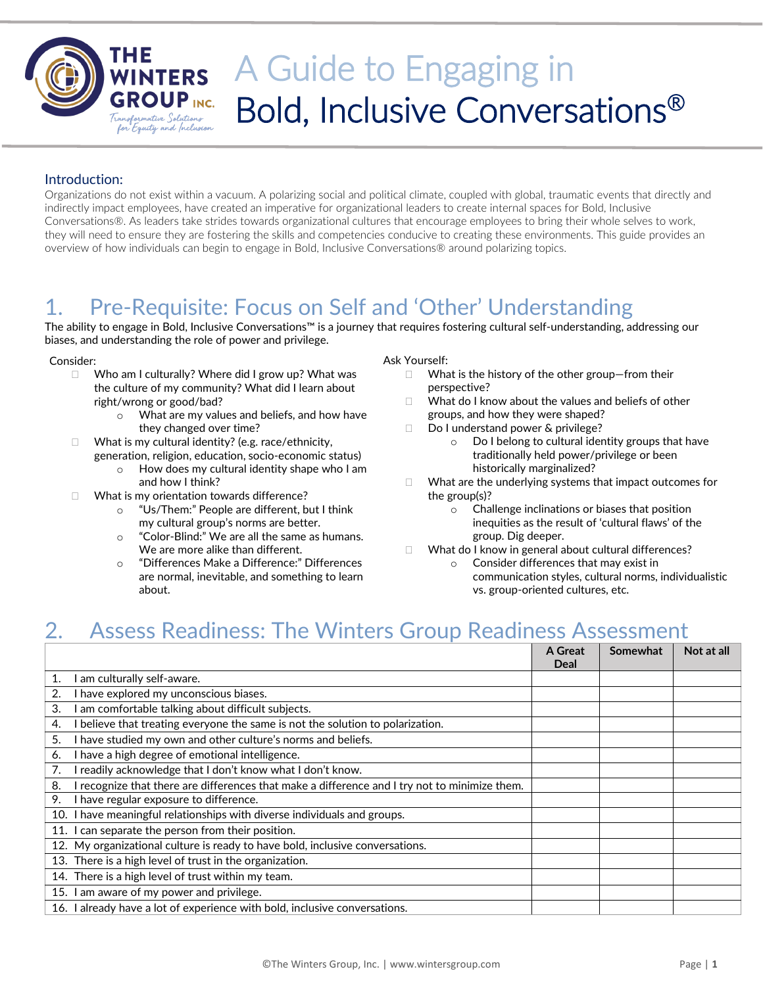

# THE WINTERS A Guide to Engaging in Bold, Inclusive Conversations®

#### Introduction:

Organizations do not exist within a vacuum. A polarizing social and political climate, coupled with global, traumatic events that directly and indirectly impact employees, have created an imperative for organizational leaders to create internal spaces for Bold, Inclusive Conversations®. As leaders take strides towards organizational cultures that encourage employees to bring their whole selves to work, they will need to ensure they are fostering the skills and competencies conducive to creating these environments. This guide provides an overview of how individuals can begin to engage in Bold, Inclusive Conversations® around polarizing topics.

### 1. Pre-Requisite: Focus on Self and 'Other' Understanding

The ability to engage in Bold, Inclusive Conversations™ is a journey that requires fostering cultural self-understanding, addressing our biases, and understanding the role of power and privilege.

#### Consider:

- $\Box$  Who am I culturally? Where did I grow up? What was the culture of my community? What did I learn about right/wrong or good/bad?
	- o What are my values and beliefs, and how have they changed over time?
- $\Box$  What is my cultural identity? (e.g. race/ethnicity, generation, religion, education, socio-economic status)
	- o How does my cultural identity shape who I am and how I think?
- $\Box$  What is my orientation towards difference?
	- o "Us/Them:" People are different, but I think my cultural group's norms are better.
	- o "Color-Blind:" We are all the same as humans. We are more alike than different.
	- o "Differences Make a Difference:" Differences are normal, inevitable, and something to learn about.

#### Ask Yourself:

- $\Box$  What is the history of the other group–from their perspective?
- $\Box$  What do I know about the values and beliefs of other groups, and how they were shaped?
- □ Do I understand power & privilege?
	- o Do I belong to cultural identity groups that have traditionally held power/privilege or been historically marginalized?
- What are the underlying systems that impact outcomes for the group(s)?
	- o Challenge inclinations or biases that position inequities as the result of 'cultural flaws' of the group. Dig deeper.
- What do I know in general about cultural differences?
	- o Consider differences that may exist in communication styles, cultural norms, individualistic vs. group-oriented cultures, etc.

### 2. Assess Readiness: The Winters Group Readiness Assessment

|    |                                                                                               | A Great<br>Deal | Somewhat | Not at all |
|----|-----------------------------------------------------------------------------------------------|-----------------|----------|------------|
| 1. | I am culturally self-aware.                                                                   |                 |          |            |
| 2. | I have explored my unconscious biases.                                                        |                 |          |            |
| 3. | I am comfortable talking about difficult subjects.                                            |                 |          |            |
| 4. | I believe that treating everyone the same is not the solution to polarization.                |                 |          |            |
| 5. | I have studied my own and other culture's norms and beliefs.                                  |                 |          |            |
| 6. | I have a high degree of emotional intelligence.                                               |                 |          |            |
| 7. | I readily acknowledge that I don't know what I don't know.                                    |                 |          |            |
| 8. | I recognize that there are differences that make a difference and I try not to minimize them. |                 |          |            |
| 9. | I have regular exposure to difference.                                                        |                 |          |            |
|    | 10. I have meaningful relationships with diverse individuals and groups.                      |                 |          |            |
|    | 11. I can separate the person from their position.                                            |                 |          |            |
|    | 12. My organizational culture is ready to have bold, inclusive conversations.                 |                 |          |            |
|    | 13. There is a high level of trust in the organization.                                       |                 |          |            |
|    | 14. There is a high level of trust within my team.                                            |                 |          |            |
|    | 15. I am aware of my power and privilege.                                                     |                 |          |            |
|    | 16. I already have a lot of experience with bold, inclusive conversations.                    |                 |          |            |